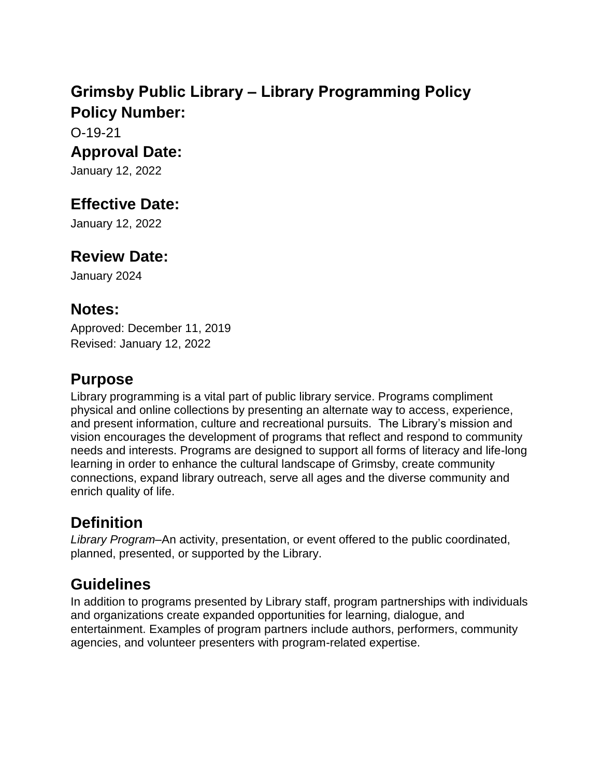# **Grimsby Public Library – Library Programming Policy Policy Number:**

O-19-21

#### **Approval Date:**

January 12, 2022

# **Effective Date:**

January 12, 2022

#### **Review Date:**

January 2024

#### **Notes:**

Approved: December 11, 2019 Revised: January 12, 2022

### **Purpose**

Library programming is a vital part of public library service. Programs compliment physical and online collections by presenting an alternate way to access, experience, and present information, culture and recreational pursuits. The Library's mission and vision encourages the development of programs that reflect and respond to community needs and interests. Programs are designed to support all forms of literacy and life-long learning in order to enhance the cultural landscape of Grimsby, create community connections, expand library outreach, serve all ages and the diverse community and enrich quality of life.

# **Definition**

*Library Program*–An activity, presentation, or event offered to the public coordinated, planned, presented, or supported by the Library.

# **Guidelines**

In addition to programs presented by Library staff, program partnerships with individuals and organizations create expanded opportunities for learning, dialogue, and entertainment. Examples of program partners include authors, performers, community agencies, and volunteer presenters with program-related expertise.